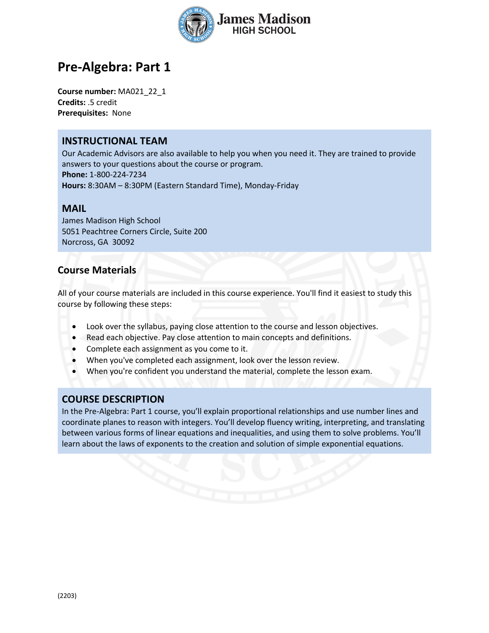

# **Pre-Algebra: Part 1**

**Course number:** MA021\_22\_1 **Credits:** .5 credit **Prerequisites:** None

### **INSTRUCTIONAL TEAM**

Our Academic Advisors are also available to help you when you need it. They are trained to provide answers to your questions about the course or program. **Phone:** 1-800-224-7234 **Hours:** 8:30AM – 8:30PM (Eastern Standard Time), Monday-Friday

#### **MAIL**

James Madison High School 5051 Peachtree Corners Circle, Suite 200 Norcross, GA 30092

### **Course Materials**

All of your course materials are included in this course experience. You'll find it easiest to study this course by following these steps:

- Look over the syllabus, paying close attention to the course and lesson objectives.
- Read each objective. Pay close attention to main concepts and definitions.
- Complete each assignment as you come to it.
- When you've completed each assignment, look over the lesson review.
- When you're confident you understand the material, complete the lesson exam.

### **COURSE DESCRIPTION**

In the Pre-Algebra: Part 1 course, you'll explain proportional relationships and use number lines and coordinate planes to reason with integers. You'll develop fluency writing, interpreting, and translating between various forms of linear equations and inequalities, and using them to solve problems. You'll learn about the laws of exponents to the creation and solution of simple exponential equations.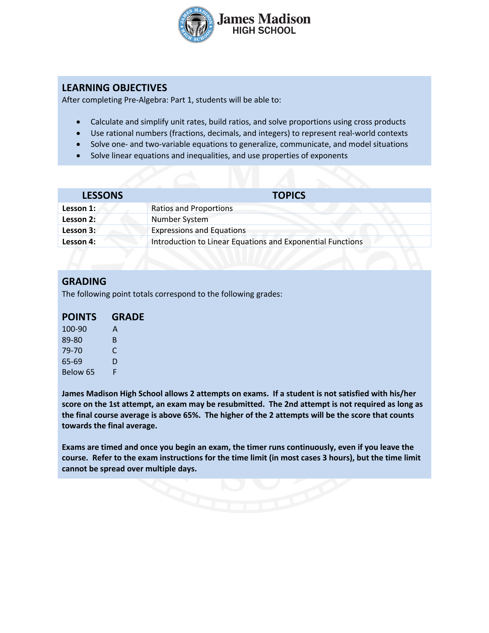

## **LEARNING OBJECTIVES**

After completing Pre-Algebra: Part 1, students will be able to:

- Calculate and simplify unit rates, build ratios, and solve proportions using cross products
- Use rational numbers (fractions, decimals, and integers) to represent real-world contexts
- Solve one- and two-variable equations to generalize, communicate, and model situations
- Solve linear equations and inequalities, and use properties of exponents

| <b>LESSONS</b> | <b>TOPICS</b>                                              |  |
|----------------|------------------------------------------------------------|--|
| Lesson 1:      | <b>Ratios and Proportions</b>                              |  |
| Lesson 2:      | Number System                                              |  |
| Lesson 3:      | <b>Expressions and Equations</b>                           |  |
| Lesson 4:      | Introduction to Linear Equations and Exponential Functions |  |

### **GRADING**

The following point totals correspond to the following grades:

| <b>POINTS</b> | <b>GRADE</b> |
|---------------|--------------|
| 100-90        | A            |
| 89-80         | B            |
| 79-70         | C            |
| 65-69         | D            |
| Below 65      | F            |

**James Madison High School allows 2 attempts on exams. If a student is not satisfied with his/her score on the 1st attempt, an exam may be resubmitted. The 2nd attempt is not required as long as the final course average is above 65%. The higher of the 2 attempts will be the score that counts towards the final average.** 

**Exams are timed and once you begin an exam, the timer runs continuously, even if you leave the course. Refer to the exam instructions for the time limit (in most cases 3 hours), but the time limit cannot be spread over multiple days.**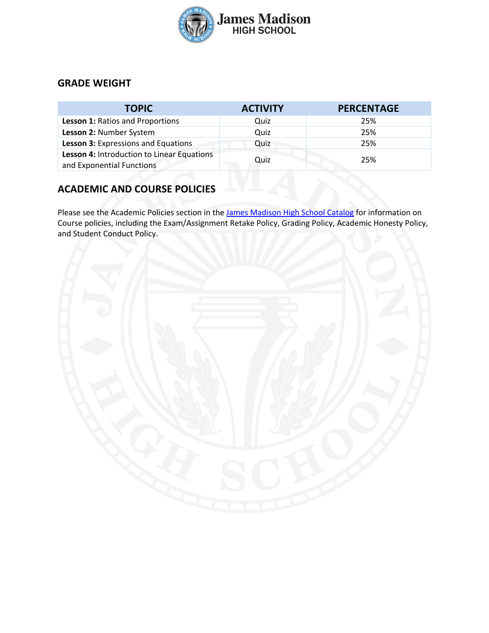

### **GRADE WEIGHT**

| <b>TOPIC</b>                                                            | <b>ACTIVITY</b> | <b>PERCENTAGE</b> |
|-------------------------------------------------------------------------|-----------------|-------------------|
| <b>Lesson 1: Ratios and Proportions</b>                                 | Quiz            | 25%               |
| Lesson 2: Number System                                                 | Quiz            | 25%               |
| Lesson 3: Expressions and Equations                                     | Quiz            | 25%               |
| Lesson 4: Introduction to Linear Equations<br>and Exponential Functions | Quiz            | 25%               |

# **ACADEMIC AND COURSE POLICIES**

Please see the Academic Policies section in the James Madison High School Catalog for information on Course policies, including the Exam/Assignment Retake Policy, Grading Policy, Academic Honesty Policy, and Student Conduct Policy.

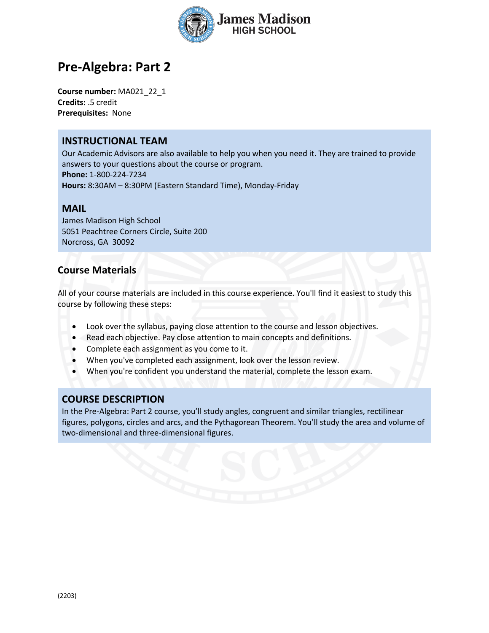

# **Pre-Algebra: Part 2**

**Course number:** MA021\_22\_1 **Credits:** .5 credit **Prerequisites:** None

### **INSTRUCTIONAL TEAM**

Our Academic Advisors are also available to help you when you need it. They are trained to provide answers to your questions about the course or program. **Phone:** 1-800-224-7234 **Hours:** 8:30AM – 8:30PM (Eastern Standard Time), Monday-Friday

#### **MAIL**

James Madison High School 5051 Peachtree Corners Circle, Suite 200 Norcross, GA 30092

### **Course Materials**

All of your course materials are included in this course experience. You'll find it easiest to study this course by following these steps:

- Look over the syllabus, paying close attention to the course and lesson objectives.
- Read each objective. Pay close attention to main concepts and definitions.
- Complete each assignment as you come to it.
- When you've completed each assignment, look over the lesson review.
- When you're confident you understand the material, complete the lesson exam.

### **COURSE DESCRIPTION**

In the Pre-Algebra: Part 2 course, you'll study angles, congruent and similar triangles, rectilinear figures, polygons, circles and arcs, and the Pythagorean Theorem. You'll study the area and volume of two-dimensional and three-dimensional figures.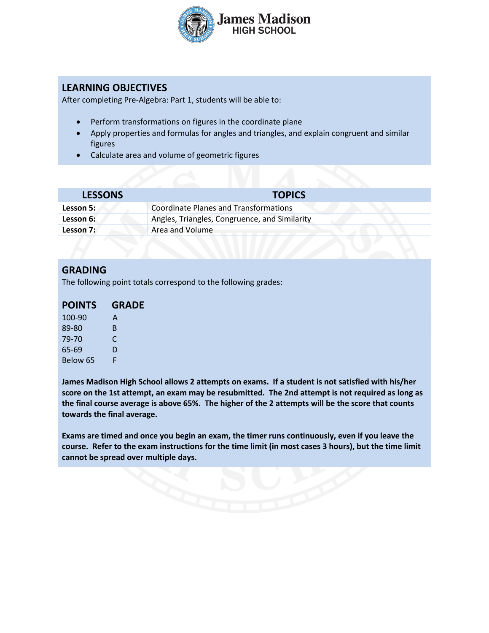

# **LEARNING OBJECTIVES**

After completing Pre-Algebra: Part 1, students will be able to:

- Perform transformations on figures in the coordinate plane
- Apply properties and formulas for angles and triangles, and explain congruent and similar figures
- Calculate area and volume of geometric figures

| <b>LESSONS</b> | <b>TOPICS</b>                                 |  |
|----------------|-----------------------------------------------|--|
| Lesson 5:      | Coordinate Planes and Transformations         |  |
| Lesson 6:      | Angles, Triangles, Congruence, and Similarity |  |
| Lesson 7:      | Area and Volume                               |  |

#### **GRADING**

The following point totals correspond to the following grades:

| <b>POINTS</b> | <b>GRADE</b> |
|---------------|--------------|
| 100-90        | A            |
| 89-80         | B            |
| 79-70         | C            |
| 65-69         | D            |
| Below 65      | F            |

**James Madison High School allows 2 attempts on exams. If a student is not satisfied with his/her score on the 1st attempt, an exam may be resubmitted. The 2nd attempt is not required as long as the final course average is above 65%. The higher of the 2 attempts will be the score that counts towards the final average.** 

**Exams are timed and once you begin an exam, the timer runs continuously, even if you leave the course. Refer to the exam instructions for the time limit (in most cases 3 hours), but the time limit cannot be spread over multiple days.**